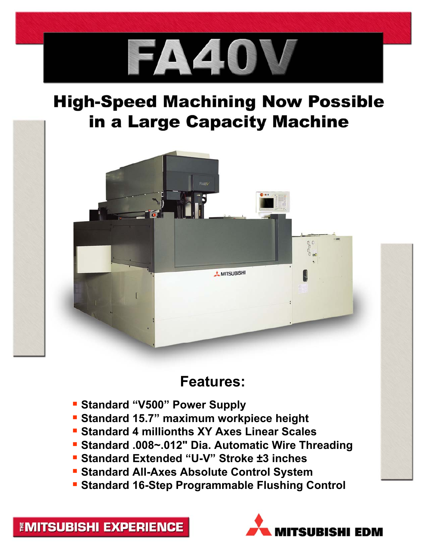

## **High-Speed Machining Now Possible** in a Large Capacity Machine



## **Features:**

- **Standard "V500" Power Supply**
- **Standard 15.7" maximum workpiece height**
- **Standard 4 millionths XY Axes Linear Scales**
- **Standard .008~.012" Dia. Automatic Wire Threading**
- **Standard Extended "U-V" Stroke ±3 inches**
- **Standard All-Axes Absolute Control System**
- **Standard 16-Step Programmable Flushing Control**